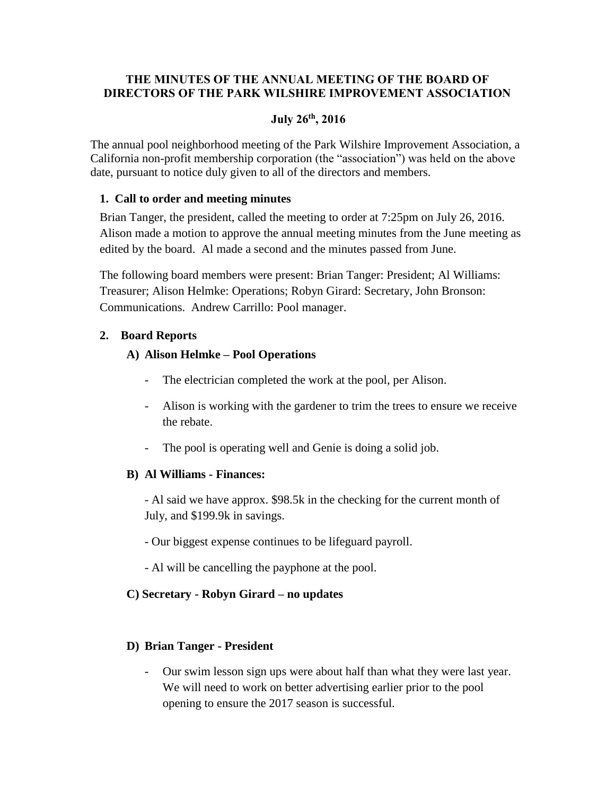## **THE MINUTES OF THE ANNUAL MEETING OF THE BOARD OF DIRECTORS OF THE PARK WILSHIRE IMPROVEMENT ASSOCIATION**

## **July 26th , 2016**

The annual pool neighborhood meeting of the Park Wilshire Improvement Association, a California non-profit membership corporation (the "association") was held on the above date, pursuant to notice duly given to all of the directors and members.

#### **1. Call to order and meeting minutes**

Brian Tanger, the president, called the meeting to order at 7:25pm on July 26, 2016. Alison made a motion to approve the annual meeting minutes from the June meeting as edited by the board. Al made a second and the minutes passed from June.

The following board members were present: Brian Tanger: President; Al Williams: Treasurer; Alison Helmke: Operations; Robyn Girard: Secretary, John Bronson: Communications. Andrew Carrillo: Pool manager.

## **2. Board Reports**

#### **A) Alison Helmke – Pool Operations**

- The electrician completed the work at the pool, per Alison.
- Alison is working with the gardener to trim the trees to ensure we receive the rebate.
- The pool is operating well and Genie is doing a solid job.

#### **B) Al Williams - Finances:**

- Al said we have approx. \$98.5k in the checking for the current month of July, and \$199.9k in savings.

- Our biggest expense continues to be lifeguard payroll.
- Al will be cancelling the payphone at the pool.

## **C) Secretary - Robyn Girard – no updates**

#### **D) Brian Tanger - President**

Our swim lesson sign ups were about half than what they were last year. We will need to work on better advertising earlier prior to the pool opening to ensure the 2017 season is successful.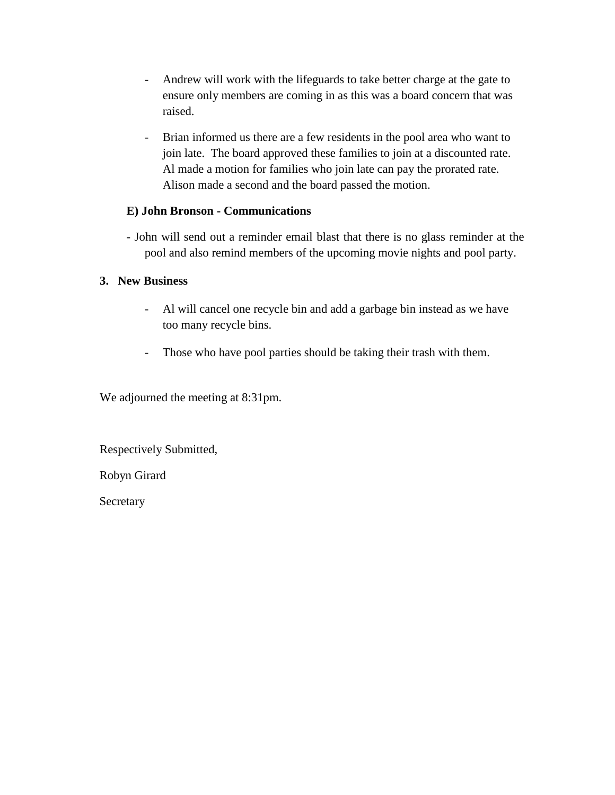- Andrew will work with the lifeguards to take better charge at the gate to ensure only members are coming in as this was a board concern that was raised.
- Brian informed us there are a few residents in the pool area who want to join late. The board approved these families to join at a discounted rate. Al made a motion for families who join late can pay the prorated rate. Alison made a second and the board passed the motion.

## **E) John Bronson - Communications**

- John will send out a reminder email blast that there is no glass reminder at the pool and also remind members of the upcoming movie nights and pool party.

#### **3. New Business**

- Al will cancel one recycle bin and add a garbage bin instead as we have too many recycle bins.
- Those who have pool parties should be taking their trash with them.

We adjourned the meeting at 8:31pm.

Respectively Submitted,

Robyn Girard

Secretary